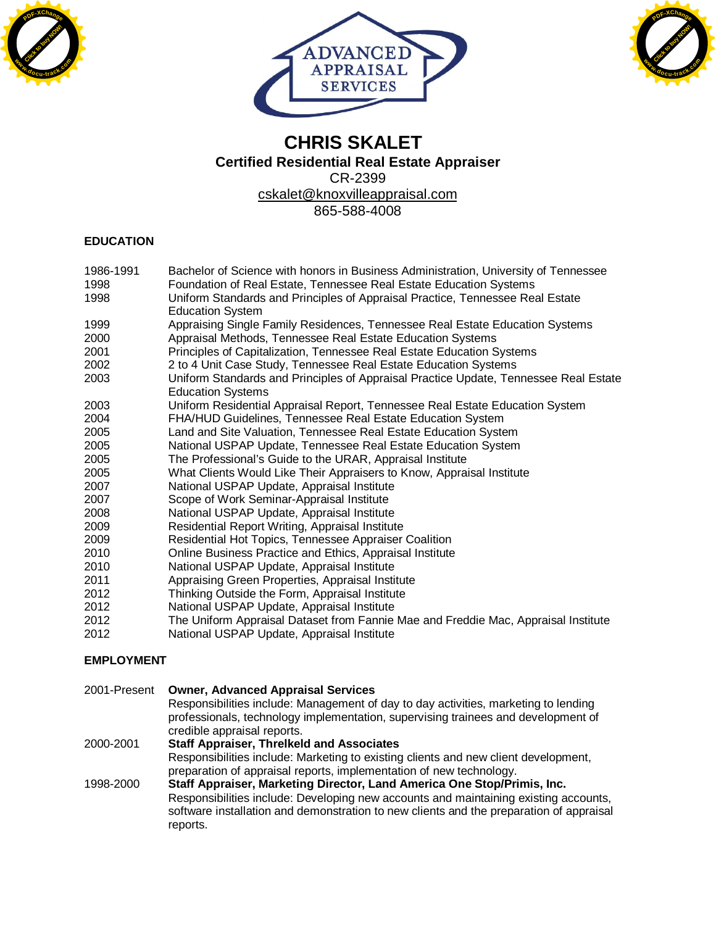





# **CHRIS SKALET Certified Residential Real Estate Appraiser** CR-2399 [cskalet@knoxvilleappraisal.com](mailto:cskalet@knoxvilleappraisal.com) 865-588-4008

## **EDUCATION**

| 1986-1991         | Bachelor of Science with honors in Business Administration, University of Tennessee                              |
|-------------------|------------------------------------------------------------------------------------------------------------------|
| 1998              | Foundation of Real Estate, Tennessee Real Estate Education Systems                                               |
| 1998              | Uniform Standards and Principles of Appraisal Practice, Tennessee Real Estate<br><b>Education System</b>         |
| 1999              | Appraising Single Family Residences, Tennessee Real Estate Education Systems                                     |
| 2000              | Appraisal Methods, Tennessee Real Estate Education Systems                                                       |
| 2001              | Principles of Capitalization, Tennessee Real Estate Education Systems                                            |
| 2002              | 2 to 4 Unit Case Study, Tennessee Real Estate Education Systems                                                  |
| 2003              | Uniform Standards and Principles of Appraisal Practice Update, Tennessee Real Estate<br><b>Education Systems</b> |
| 2003              | Uniform Residential Appraisal Report, Tennessee Real Estate Education System                                     |
| 2004              | FHA/HUD Guidelines, Tennessee Real Estate Education System                                                       |
| 2005              | Land and Site Valuation, Tennessee Real Estate Education System                                                  |
| 2005              | National USPAP Update, Tennessee Real Estate Education System                                                    |
| 2005              | The Professional's Guide to the URAR, Appraisal Institute                                                        |
| 2005              | What Clients Would Like Their Appraisers to Know, Appraisal Institute                                            |
| 2007              | National USPAP Update, Appraisal Institute                                                                       |
| 2007              | Scope of Work Seminar-Appraisal Institute                                                                        |
| 2008              | National USPAP Update, Appraisal Institute                                                                       |
| 2009              | Residential Report Writing, Appraisal Institute                                                                  |
| 2009              | Residential Hot Topics, Tennessee Appraiser Coalition                                                            |
| 2010              | Online Business Practice and Ethics, Appraisal Institute                                                         |
| 2010              | National USPAP Update, Appraisal Institute                                                                       |
| 2011              | Appraising Green Properties, Appraisal Institute                                                                 |
| 2012              | Thinking Outside the Form, Appraisal Institute                                                                   |
| 2012              | National USPAP Update, Appraisal Institute                                                                       |
| 2012              | The Uniform Appraisal Dataset from Fannie Mae and Freddie Mac, Appraisal Institute                               |
| 2012              | National USPAP Update, Appraisal Institute                                                                       |
| <b>EMPLOYMENT</b> |                                                                                                                  |

| 2001-Present | <b>Owner, Advanced Appraisal Services</b>                                               |
|--------------|-----------------------------------------------------------------------------------------|
|              | Responsibilities include: Management of day to day activities, marketing to lending     |
|              | professionals, technology implementation, supervising trainees and development of       |
|              | credible appraisal reports.                                                             |
| 2000-2001    | <b>Staff Appraiser, Threlkeld and Associates</b>                                        |
|              | Responsibilities include: Marketing to existing clients and new client development,     |
|              | preparation of appraisal reports, implementation of new technology.                     |
| 1998-2000    | Staff Appraiser, Marketing Director, Land America One Stop/Primis, Inc.                 |
|              | Responsibilities include: Developing new accounts and maintaining existing accounts,    |
|              | software installation and demonstration to new clients and the preparation of appraisal |
|              | reports.                                                                                |